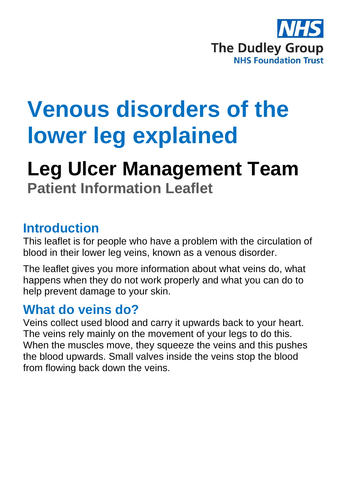

# **Venous disorders of the lower leg explained**

# **Leg Ulcer Management Team Patient Information Leaflet**

#### **Introduction**

This leaflet is for people who have a problem with the circulation of blood in their lower leg veins, known as a venous disorder.

The leaflet gives you more information about what veins do, what happens when they do not work properly and what you can do to help prevent damage to your skin.

#### **What do veins do?**

Veins collect used blood and carry it upwards back to your heart. The veins rely mainly on the movement of your legs to do this. When the muscles move, they squeeze the veins and this pushes the blood upwards. Small valves inside the veins stop the blood from flowing back down the veins.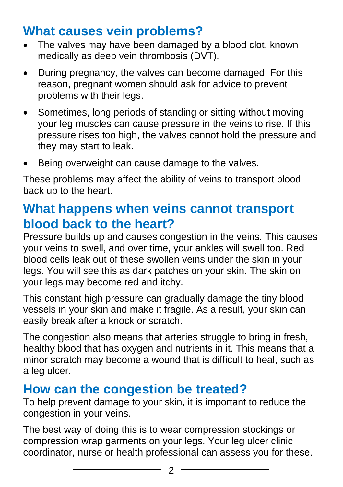# **What causes vein problems?**

- The valves may have been damaged by a blood clot, known medically as deep vein thrombosis (DVT).
- During pregnancy, the valves can become damaged. For this reason, pregnant women should ask for advice to prevent problems with their legs.
- Sometimes, long periods of standing or sitting without moving your leg muscles can cause pressure in the veins to rise. If this pressure rises too high, the valves cannot hold the pressure and they may start to leak.
- Being overweight can cause damage to the valves.

These problems may affect the ability of veins to transport blood back up to the heart.

### **What happens when veins cannot transport blood back to the heart?**

Pressure builds up and causes congestion in the veins. This causes your veins to swell, and over time, your ankles will swell too. Red blood cells leak out of these swollen veins under the skin in your legs. You will see this as dark patches on your skin. The skin on your legs may become red and itchy.

This constant high pressure can gradually damage the tiny blood vessels in your skin and make it fragile. As a result, your skin can easily break after a knock or scratch.

The congestion also means that arteries struggle to bring in fresh, healthy blood that has oxygen and nutrients in it. This means that a minor scratch may become a wound that is difficult to heal, such as a leg ulcer.

#### **How can the congestion be treated?**

To help prevent damage to your skin, it is important to reduce the congestion in your veins.

The best way of doing this is to wear compression stockings or compression wrap garments on your legs. Your leg ulcer clinic coordinator, nurse or health professional can assess you for these.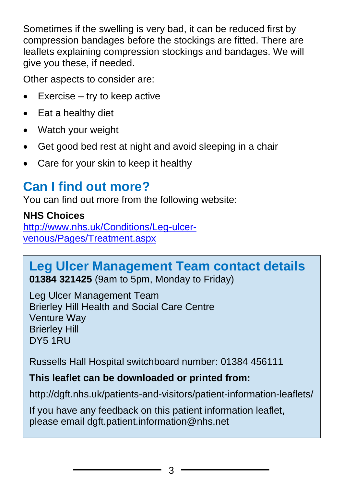Sometimes if the swelling is very bad, it can be reduced first by compression bandages before the stockings are fitted. There are leaflets explaining compression stockings and bandages. We will give you these, if needed.

Other aspects to consider are:

- $Exercise try to keep active$
- Eat a healthy diet
- Watch your weight
- Get good bed rest at night and avoid sleeping in a chair
- Care for your skin to keep it healthy

# **Can I find out more?**

You can find out more from the following website:

#### **NHS Choices**

[http://www.nhs.uk/Conditions/Leg-ulcer](http://www.nhs.uk/Conditions/Leg-ulcer-venous/Pages/Treatment.aspx)[venous/Pages/Treatment.aspx](http://www.nhs.uk/Conditions/Leg-ulcer-venous/Pages/Treatment.aspx)

#### **Leg Ulcer Management Team contact details 01384 321425** (9am to 5pm, Monday to Friday)

Leg Ulcer Management Team Brierley Hill Health and Social Care Centre Venture Way Brierley Hill DY5 1RU

Russells Hall Hospital switchboard number: 01384 456111

#### **This leaflet can be downloaded or printed from:**

http://dgft.nhs.uk/patients-and-visitors/patient-information-leaflets/

If you have any feedback on this patient information leaflet, please email dgft.patient.information@nhs.net